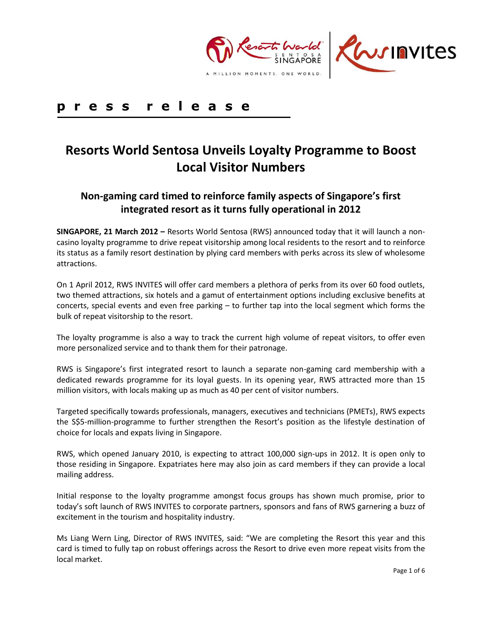

# **p r e s s r e l e a s e**

# **Resorts World Sentosa Unveils Loyalty Programme to Boost Local Visitor Numbers**

# **Non-gaming card timed to reinforce family aspects of Singapore's first integrated resort as it turns fully operational in 2012**

**SINGAPORE, 21 March 2012 –** Resorts World Sentosa (RWS) announced today that it will launch a noncasino loyalty programme to drive repeat visitorship among local residents to the resort and to reinforce its status as a family resort destination by plying card members with perks across its slew of wholesome attractions.

On 1 April 2012, RWS INVITES will offer card members a plethora of perks from its over 60 food outlets, two themed attractions, six hotels and a gamut of entertainment options including exclusive benefits at concerts, special events and even free parking – to further tap into the local segment which forms the bulk of repeat visitorship to the resort.

The loyalty programme is also a way to track the current high volume of repeat visitors, to offer even more personalized service and to thank them for their patronage.

RWS is Singapore's first integrated resort to launch a separate non-gaming card membership with a dedicated rewards programme for its loyal guests. In its opening year, RWS attracted more than 15 million visitors, with locals making up as much as 40 per cent of visitor numbers.

Targeted specifically towards professionals, managers, executives and technicians (PMETs), RWS expects the S\$5-million-programme to further strengthen the Resort's position as the lifestyle destination of choice for locals and expats living in Singapore.

RWS, which opened January 2010, is expecting to attract 100,000 sign-ups in 2012. It is open only to those residing in Singapore. Expatriates here may also join as card members if they can provide a local mailing address.

Initial response to the loyalty programme amongst focus groups has shown much promise, prior to today's soft launch of RWS INVITES to corporate partners, sponsors and fans of RWS garnering a buzz of excitement in the tourism and hospitality industry.

Ms Liang Wern Ling, Director of RWS INVITES, said: "We are completing the Resort this year and this card is timed to fully tap on robust offerings across the Resort to drive even more repeat visits from the local market.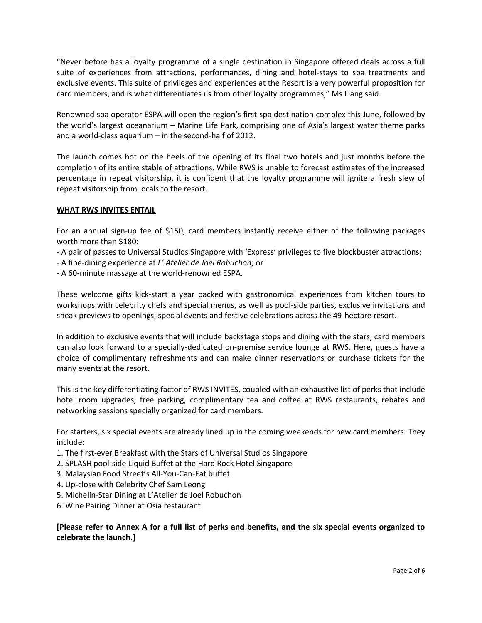"Never before has a loyalty programme of a single destination in Singapore offered deals across a full suite of experiences from attractions, performances, dining and hotel-stays to spa treatments and exclusive events. This suite of privileges and experiences at the Resort is a very powerful proposition for card members, and is what differentiates us from other loyalty programmes," Ms Liang said.

Renowned spa operator ESPA will open the region's first spa destination complex this June, followed by the world's largest oceanarium – Marine Life Park, comprising one of Asia's largest water theme parks and a world-class aquarium – in the second-half of 2012.

The launch comes hot on the heels of the opening of its final two hotels and just months before the completion of its entire stable of attractions. While RWS is unable to forecast estimates of the increased percentage in repeat visitorship, it is confident that the loyalty programme will ignite a fresh slew of repeat visitorship from locals to the resort.

#### **WHAT RWS INVITES ENTAIL**

For an annual sign-up fee of \$150, card members instantly receive either of the following packages worth more than \$180:

- A pair of passes to Universal Studios Singapore with 'Express' privileges to five blockbuster attractions;
- A fine-dining experience at *L' Atelier de Joel Robuchon*; or
- A 60-minute massage at the world-renowned ESPA.

These welcome gifts kick-start a year packed with gastronomical experiences from kitchen tours to workshops with celebrity chefs and special menus, as well as pool-side parties, exclusive invitations and sneak previews to openings, special events and festive celebrations across the 49-hectare resort.

In addition to exclusive events that will include backstage stops and dining with the stars, card members can also look forward to a specially-dedicated on-premise service lounge at RWS. Here, guests have a choice of complimentary refreshments and can make dinner reservations or purchase tickets for the many events at the resort.

This is the key differentiating factor of RWS INVITES, coupled with an exhaustive list of perks that include hotel room upgrades, free parking, complimentary tea and coffee at RWS restaurants, rebates and networking sessions specially organized for card members.

For starters, six special events are already lined up in the coming weekends for new card members. They include:

- 1. The first-ever Breakfast with the Stars of Universal Studios Singapore
- 2. SPLASH pool-side Liquid Buffet at the Hard Rock Hotel Singapore
- 3. Malaysian Food Street's All-You-Can-Eat buffet
- 4. Up-close with Celebrity Chef Sam Leong
- 5. Michelin-Star Dining at L'Atelier de Joel Robuchon
- 6. Wine Pairing Dinner at Osia restaurant

## **[Please refer to Annex A for a full list of perks and benefits, and the six special events organized to celebrate the launch.]**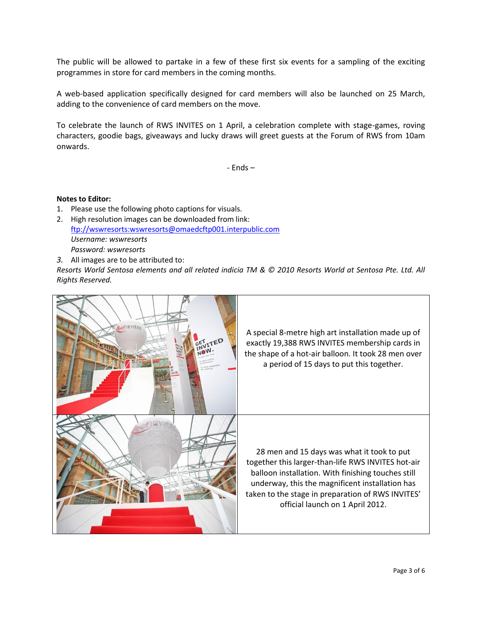The public will be allowed to partake in a few of these first six events for a sampling of the exciting programmes in store for card members in the coming months.

A web-based application specifically designed for card members will also be launched on 25 March, adding to the convenience of card members on the move.

To celebrate the launch of RWS INVITES on 1 April, a celebration complete with stage-games, roving characters, goodie bags, giveaways and lucky draws will greet guests at the Forum of RWS from 10am onwards.

- Ends –

#### **Notes to Editor:**

- 1. Please use the following photo captions for visuals.
- 2. High resolution images can be downloaded from link: [ftp://wswresorts:wswresorts@omaedcftp001.interpublic.com](ftp://wswresorts:wswresorts@omaedcftp001.interpublic.com/) *Username: wswresorts Password: wswresorts*
- *3.* All images are to be attributed to:

*Resorts World Sentosa elements and all related indicia TM & © 2010 Resorts World at Sentosa Pte. Ltd. All Rights Reserved.*

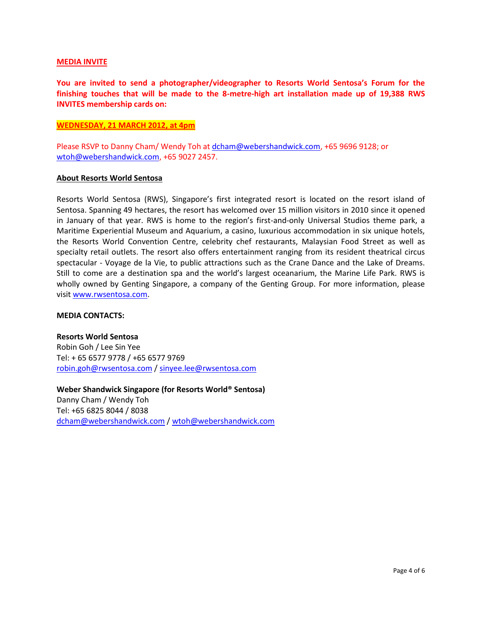#### **MEDIA INVITE**

**You are invited to send a photographer/videographer to Resorts World Sentosa's Forum for the finishing touches that will be made to the 8-metre-high art installation made up of 19,388 RWS INVITES membership cards on:** 

#### **WEDNESDAY, 21 MARCH 2012, at 4pm**

Please RSVP to Danny Cham/ Wendy Toh at [dcham@webershandwick.com,](mailto:dcham@webershandwick.com) +65 9696 9128; or [wtoh@webershandwick.com,](mailto:wtoh@webershandwick.com) +65 9027 2457.

#### **About Resorts World Sentosa**

Resorts World Sentosa (RWS), Singapore's first integrated resort is located on the resort island of Sentosa. Spanning 49 hectares, the resort has welcomed over 15 million visitors in 2010 since it opened in January of that year. RWS is home to the region's first-and-only Universal Studios theme park, a Maritime Experiential Museum and Aquarium, a casino, luxurious accommodation in six unique hotels, the Resorts World Convention Centre, celebrity chef restaurants, Malaysian Food Street as well as specialty retail outlets. The resort also offers entertainment ranging from its resident theatrical circus spectacular - Voyage de la Vie, to public attractions such as the Crane Dance and the Lake of Dreams. Still to come are a destination spa and the world's largest oceanarium, the Marine Life Park. RWS is wholly owned by Genting Singapore, a company of the Genting Group. For more information, please visi[t www.rwsentosa.com.](http://www.rwsentosa.com/)

#### **MEDIA CONTACTS:**

**Resorts World Sentosa** Robin Goh / Lee Sin Yee Tel: + 65 6577 9778 / +65 6577 9769 [robin.goh@rwsentosa.com](mailto:robin.goh@rwsentosa.com) [/ sinyee.lee@rwsentosa.com](mailto:sinyee.lee@rwsentosa.com)

**Weber Shandwick Singapore (for Resorts World® Sentosa)**  Danny Cham / Wendy Toh Tel: +65 6825 8044 / 8038 [dcham@webershandwick.com](mailto:dcham@webershandwick.com) [/ wtoh@webershandwick.com](mailto:wtoh@webershandwick.com)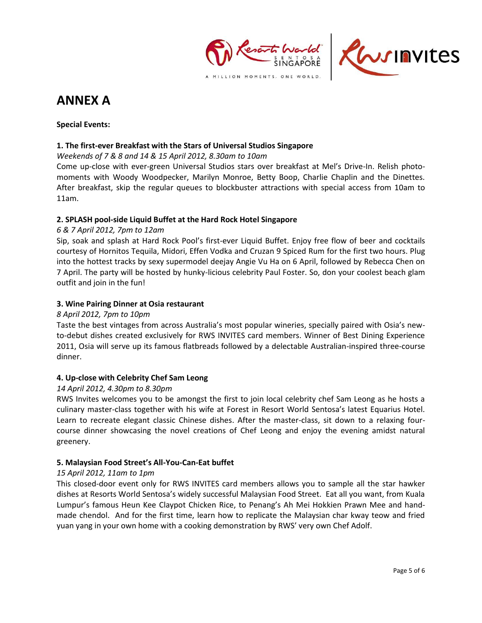



# **ANNEX A**

# **Special Events:**

# **1. The first-ever Breakfast with the Stars of Universal Studios Singapore**

*Weekends of 7 & 8 and 14 & 15 April 2012, 8.30am to 10am*

Come up-close with ever-green Universal Studios stars over breakfast at Mel's Drive-In. Relish photomoments with Woody Woodpecker, Marilyn Monroe, Betty Boop, Charlie Chaplin and the Dinettes. After breakfast, skip the regular queues to blockbuster attractions with special access from 10am to 11am.

# **2. SPLASH pool-side Liquid Buffet at the Hard Rock Hotel Singapore**

# *6 & 7 April 2012, 7pm to 12am*

Sip, soak and splash at Hard Rock Pool's first-ever Liquid Buffet. Enjoy free flow of beer and cocktails courtesy of Hornitos Tequila, Midori, Effen Vodka and Cruzan 9 Spiced Rum for the first two hours. Plug into the hottest tracks by sexy supermodel deejay Angie Vu Ha on 6 April, followed by Rebecca Chen on 7 April. The party will be hosted by hunky-licious celebrity Paul Foster. So, don your coolest beach glam outfit and join in the fun!

## **3. Wine Pairing Dinner at Osia restaurant**

# *8 April 2012, 7pm to 10pm*

Taste the best vintages from across Australia's most popular wineries, specially paired with Osia's newto-debut dishes created exclusively for RWS INVITES card members. Winner of Best Dining Experience 2011, Osia will serve up its famous flatbreads followed by a delectable Australian-inspired three-course dinner.

## **4. Up-close with Celebrity Chef Sam Leong**

# *14 April 2012, 4.30pm to 8.30pm*

RWS Invites welcomes you to be amongst the first to join local celebrity chef Sam Leong as he hosts a culinary master-class together with his wife at Forest in Resort World Sentosa's latest Equarius Hotel. Learn to recreate elegant classic Chinese dishes. After the master-class, sit down to a relaxing fourcourse dinner showcasing the novel creations of Chef Leong and enjoy the evening amidst natural greenery.

# **5. Malaysian Food Street's All-You-Can-Eat buffet**

## *15 April 2012, 11am to 1pm*

This closed-door event only for RWS INVITES card members allows you to sample all the star hawker dishes at Resorts World Sentosa's widely successful Malaysian Food Street. Eat all you want, from Kuala Lumpur's famous Heun Kee Claypot Chicken Rice, to Penang's Ah Mei Hokkien Prawn Mee and handmade chendol. And for the first time, learn how to replicate the Malaysian char kway teow and fried yuan yang in your own home with a cooking demonstration by RWS' very own Chef Adolf.